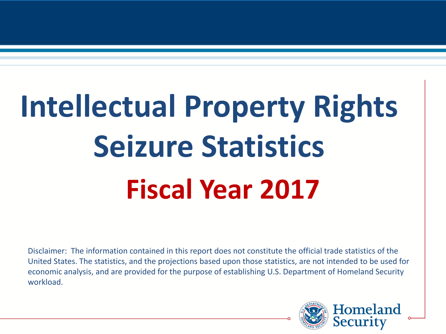# **Intellectual Property Rights Seizure Statistics Fiscal Year 2017**

Disclaimer: The information contained in this report does not constitute the official trade statistics of the United States. The statistics, and the projections based upon those statistics, are not intended to be used for economic analysis, and are provided for the purpose of establishing U.S. Department of Homeland Security workload.

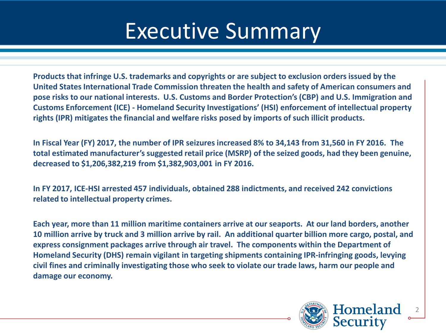### Executive Summary

**Products that infringe U.S. trademarks and copyrights or are subject to exclusion orders issued by the United States International Trade Commission threaten the health and safety of American consumers and pose risks to our national interests. U.S. Customs and Border Protection's (CBP) and U.S. Immigration and Customs Enforcement (ICE) - Homeland Security Investigations' (HSI) enforcement of intellectual property rights (IPR) mitigates the financial and welfare risks posed by imports of such illicit products.**

**In Fiscal Year (FY) 2017, the number of IPR seizures increased 8% to 34,143 from 31,560 in FY 2016. The total estimated manufacturer's suggested retail price (MSRP) of the seized goods, had they been genuine, decreased to \$1,206,382,219 from \$1,382,903,001 in FY 2016.** 

**In FY 2017, ICE-HSI arrested 457 individuals, obtained 288 indictments, and received 242 convictions related to intellectual property crimes.**

**Each year, more than 11 million maritime containers arrive at our seaports. At our land borders, another 10 million arrive by truck and 3 million arrive by rail. An additional quarter billion more cargo, postal, and express consignment packages arrive through air travel. The components within the Department of Homeland Security (DHS) remain vigilant in targeting shipments containing IPR-infringing goods, levying civil fines and criminally investigating those who seek to violate our trade laws, harm our people and damage our economy.**

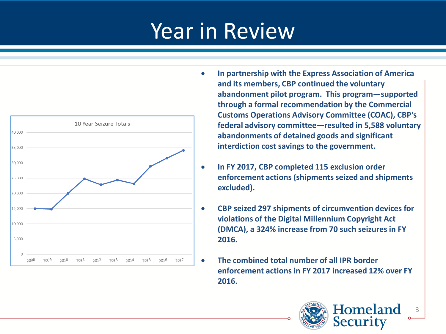

- **In partnership with the Express Association of America and its members, CBP continued the voluntary abandonment pilot program. This program—supported through a formal recommendation by the Commercial Customs Operations Advisory Committee (COAC), CBP's federal advisory committee—resulted in 5,588 voluntary abandonments of detained goods and significant interdiction cost savings to the government.**
	- **In FY 2017, CBP completed 115 exclusion order enforcement actions (shipments seized and shipments excluded).**
- **CBP seized 297 shipments of circumvention devices for violations of the Digital Millennium Copyright Act (DMCA), a 324% increase from 70 such seizures in FY 2016.**
	- **The combined total number of all IPR border enforcement actions in FY 2017 increased 12% over FY 2016.**

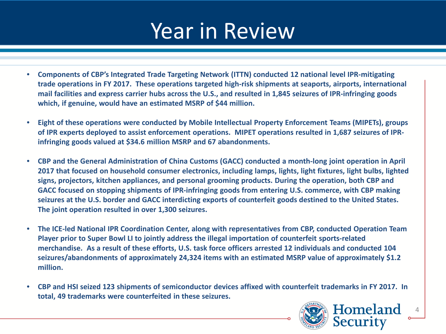- **Components of CBP's Integrated Trade Targeting Network (ITTN) conducted 12 national level IPR-mitigating trade operations in FY 2017. These operations targeted high-risk shipments at seaports, airports, international mail facilities and express carrier hubs across the U.S., and resulted in 1,845 seizures of IPR-infringing goods which, if genuine, would have an estimated MSRP of \$44 million.**
- **Eight of these operations were conducted by Mobile Intellectual Property Enforcement Teams (MIPETs), groups of IPR experts deployed to assist enforcement operations. MIPET operations resulted in 1,687 seizures of IPRinfringing goods valued at \$34.6 million MSRP and 67 abandonments.**
- **CBP and the General Administration of China Customs (GACC) conducted a month-long joint operation in April 2017 that focused on household consumer electronics, including lamps, lights, light fixtures, light bulbs, lighted signs, projectors, kitchen appliances, and personal grooming products. During the operation, both CBP and GACC focused on stopping shipments of IPR-infringing goods from entering U.S. commerce, with CBP making seizures at the U.S. border and GACC interdicting exports of counterfeit goods destined to the United States. The joint operation resulted in over 1,300 seizures.**
- **The ICE-led National IPR Coordination Center, along with representatives from CBP, conducted Operation Team Player prior to Super Bowl LI to jointly address the illegal importation of counterfeit sports-related merchandise. As a result of these efforts, U.S. task force officers arrested 12 individuals and conducted 104 seizures/abandonments of approximately 24,324 items with an estimated MSRP value of approximately \$1.2 million.**
- **CBP and HSI seized 123 shipments of semiconductor devices affixed with counterfeit trademarks in FY 2017. In total, 49 trademarks were counterfeited in these seizures.**

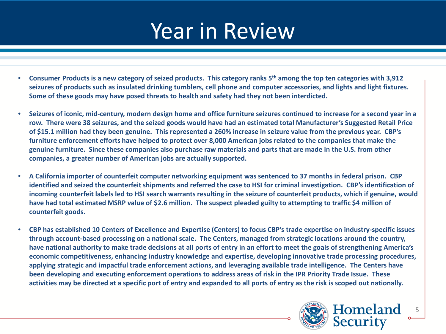- **Consumer Products is a new category of seized products. This category ranks 5th among the top ten categories with 3,912 seizures of products such as insulated drinking tumblers, cell phone and computer accessories, and lights and light fixtures. Some of these goods may have posed threats to health and safety had they not been interdicted.**
- **Seizures of iconic, mid-century, modern design home and office furniture seizures continued to increase for a second year in a row. There were 38 seizures, and the seized goods would have had an estimated total Manufacturer's Suggested Retail Price of \$15.1 million had they been genuine. This represented a 260% increase in seizure value from the previous year. CBP's furniture enforcement efforts have helped to protect over 8,000 American jobs related to the companies that make the genuine furniture. Since these companies also purchase raw materials and parts that are made in the U.S. from other companies, a greater number of American jobs are actually supported.**
- **A California importer of counterfeit computer networking equipment was sentenced to 37 months in federal prison. CBP identified and seized the counterfeit shipments and referred the case to HSI for criminal investigation. CBP's identification of incoming counterfeit labels led to HSI search warrants resulting in the seizure of counterfeit products, which if genuine, would have had total estimated MSRP value of \$2.6 million. The suspect pleaded guilty to attempting to traffic \$4 million of counterfeit goods.**
- **CBP has established 10 Centers of Excellence and Expertise (Centers) to focus CBP's trade expertise on industry-specific issues through account-based processing on a national scale. The Centers, managed from strategic locations around the country, have national authority to make trade decisions at all ports of entry in an effort to meet the goals of strengthening America's economic competitiveness, enhancing industry knowledge and expertise, developing innovative trade processing procedures, applying strategic and impactful trade enforcement actions, and leveraging available trade intelligence. The Centers have been developing and executing enforcement operations to address areas of risk in the IPR Priority Trade Issue. These activities may be directed at a specific port of entry and expanded to all ports of entry as the risk is scoped out nationally.**

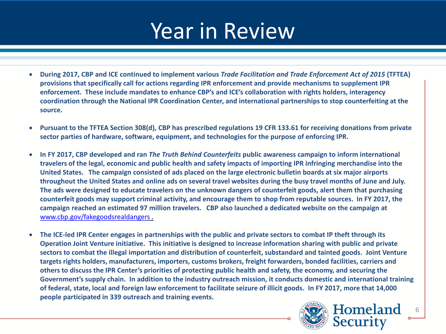- **During 2017, CBP and ICE continued to implement various** *Trade Facilitation and Trade Enforcement Act of 2015* **(TFTEA) provisions that specifically call for actions regarding IPR enforcement and provide mechanisms to supplement IPR enforcement. These include mandates to enhance CBP's and ICE's collaboration with rights holders, interagency coordination through the National IPR Coordination Center, and international partnerships to stop counterfeiting at the source.**
- **Pursuant to the TFTEA Section 308(d), CBP has prescribed regulations 19 CFR 133.61 for receiving donations from private sector parties of hardware, software, equipment, and technologies for the purpose of enforcing IPR.**
- **In FY 2017, CBP developed and ran** *The Truth Behind Counterfeits* **public awareness campaign to inform international travelers of the legal, economic and public health and safety impacts of importing IPR infringing merchandise into the United States. The campaign consisted of ads placed on the large electronic bulletin boards at six major airports throughout the United States and online ads on several travel websites during the busy travel months of June and July. The ads were designed to educate travelers on the unknown dangers of counterfeit goods, alert them that purchasing counterfeit goods may support criminal activity, and encourage them to shop from reputable sources. In FY 2017, the campaign reached an estimated 97 million travelers. CBP also launched a dedicated website on the campaign at**  [www.cbp.gov/fakegoodsrealdangers](http://www.cbp.gov/fakegoodsrealdangers) .
- **The ICE-led IPR Center engages in partnerships with the public and private sectors to combat IP theft through its Operation Joint Venture initiative. This initiative is designed to increase information sharing with public and private sectors to combat the illegal importation and distribution of counterfeit, substandard and tainted goods. Joint Venture targets rights holders, manufacturers, importers, customs brokers, freight forwarders, bonded facilities, carriers and others to discuss the IPR Center's priorities of protecting public health and safety, the economy, and securing the Government's supply chain. In addition to the industry outreach mission, it conducts domestic and international training of federal, state, local and foreign law enforcement to facilitate seizure of illicit goods. In FY 2017, more that 14,000 people participated in 339 outreach and training events.**

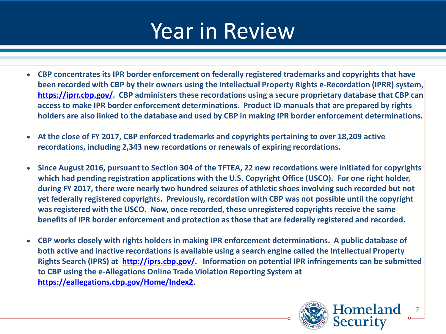- **CBP concentrates its IPR border enforcement on federally registered trademarks and copyrights that have been recorded with CBP by their owners using the Intellectual Property Rights e-Recordation (IPRR) system, <https://iprr.cbp.gov/>. CBP administers these recordations using a secure proprietary database that CBP can access to make IPR border enforcement determinations. Product ID manuals that are prepared by rights holders are also linked to the database and used by CBP in making IPR border enforcement determinations.**
- **At the close of FY 2017, CBP enforced trademarks and copyrights pertaining to over 18,209 active recordations, including 2,343 new recordations or renewals of expiring recordations.**
- **Since August 2016, pursuant to Section 304 of the TFTEA, 22 new recordations were initiated for copyrights which had pending registration applications with the U.S. Copyright Office (USCO). For one right holder, during FY 2017, there were nearly two hundred seizures of athletic shoes involving such recorded but not yet federally registered copyrights. Previously, recordation with CBP was not possible until the copyright was registered with the USCO. Now, once recorded, these unregistered copyrights receive the same benefits of IPR border enforcement and protection as those that are federally registered and recorded.**
- **CBP works closely with rights holders in making IPR enforcement determinations. A public database of both active and inactive recordations is available using a search engine called the Intellectual Property Rights Search (IPRS) at [http://iprs.cbp.gov/.](http://iprs.cbp.gov/) Information on potential IPR infringements can be submitted to CBP using the e-Allegations Online Trade Violation Reporting System at [https://eallegations.cbp.gov/Home/Index2.](https://eallegations.cbp.gov/Home/Index2)**

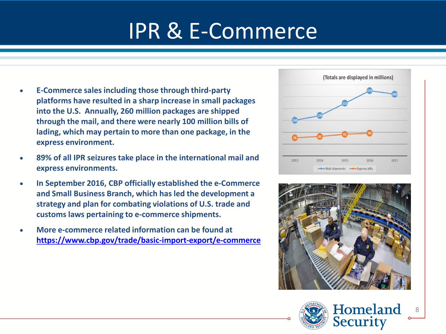# IPR & E-Commerce

- **E-Commerce sales including those through third-party platforms have resulted in a sharp increase in small packages into the U.S. Annually, 260 million packages are shipped through the mail, and there were nearly 100 million bills of lading, which may pertain to more than one package, in the express environment.**
- **89% of all IPR seizures take place in the international mail and express environments.**
- **In September 2016, CBP officially established the e-Commerce and Small Business Branch, which has led the development a strategy and plan for combating violations of U.S. trade and customs laws pertaining to e-commerce shipments.**
- **More e-commerce related information can be found at <https://www.cbp.gov/trade/basic-import-export/e-commerce>**





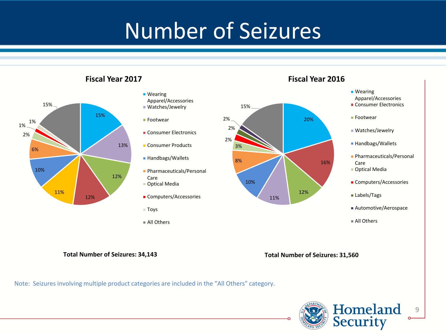# Number of Seizures



#### **Wearing** Apparel/Accessories ■ Watches/Jewelry ■ Footwear **Consumer Electronics Consumer Products** ■ Handbags/Wallets **Pharmaceuticals/Personal** Care Optical Media **Computers/Accessories** ■ Toys All Others 8% 3% 2% 2% 2%

### **Fiscal Year 2016**



**Total Number of Seizures: 34,143**

**Fiscal Year 2017**

**Total Number of Seizures: 31,560**

Note: Seizures involving multiple product categories are included in the "All Others" category.

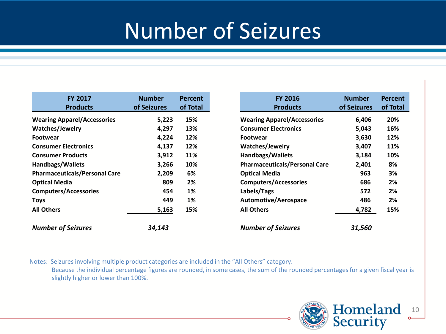### Number of Seizures

| <b>FY 2017</b><br><b>Products</b>    | <b>Number</b><br>of Seizures | <b>Percent</b><br>of Total |
|--------------------------------------|------------------------------|----------------------------|
| <b>Wearing Apparel/Accessories</b>   | 5,223                        | 15%                        |
| Watches/Jewelry                      | 4,297                        | 13%                        |
| <b>Footwear</b>                      | 4,224                        | 12%                        |
| <b>Consumer Electronics</b>          | 4,137                        | 12%                        |
| <b>Consumer Products</b>             | 3,912                        | 11%                        |
| <b>Handbags/Wallets</b>              | 3,266                        | 10%                        |
| <b>Pharmaceuticals/Personal Care</b> | 2,209                        | 6%                         |
| <b>Optical Media</b>                 | 809                          | 2%                         |
| <b>Computers/Accessories</b>         | 454                          | 1%                         |
| <b>Toys</b>                          | 449                          | 1%                         |
| <b>All Others</b>                    | 5,163                        | 15%                        |
| <b>Number of Seizures</b>            | 34,143                       |                            |

Notes: Seizures involving multiple product categories are included in the "All Others" category. Because the individual percentage figures are rounded, in some cases, the sum of the rounded percentages for a given fiscal year is slightly higher or lower than 100%.

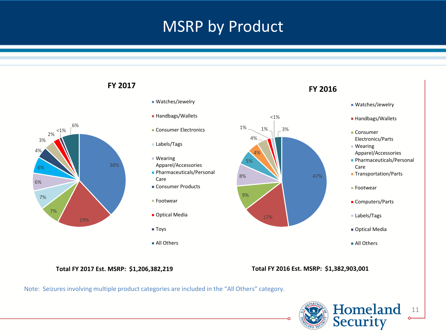### MSRP by Product



### Note: Seizures involving multiple product categories are included in the "All Others" category.

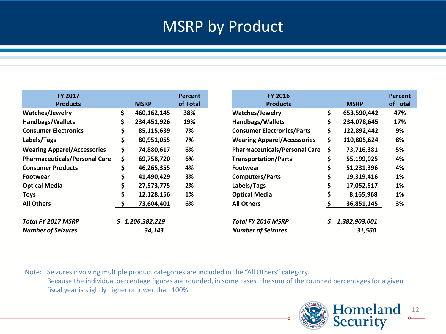### MSRP by Product

| FY 2017<br><b>Products</b>           |    | <b>MSRP</b>   | <b>Percent</b><br>of Total | <b>FY 2016</b><br><b>Products</b><br><b>MSRP</b>        | <b>Percent</b><br>of Total |
|--------------------------------------|----|---------------|----------------------------|---------------------------------------------------------|----------------------------|
| Watches/Jewelry                      | \$ | 460,162,145   | 38%                        | \$<br>Watches/Jewelry<br>653,590,442                    |                            |
|                                      |    |               |                            |                                                         |                            |
| <b>Handbags/Wallets</b>              |    | 234,451,926   | 19%                        | \$<br><b>Handbags/Wallets</b><br>234,078,645            |                            |
| <b>Consumer Electronics</b>          | Ş  | 85,115,639    | 7%                         | \$<br><b>Consumer Electronics/Parts</b><br>122,892,442  |                            |
| Labels/Tags                          | \$ | 80,951,055    | 7%                         | \$<br><b>Wearing Apparel/Accessories</b><br>110,805,624 |                            |
| <b>Wearing Apparel/Accessories</b>   | \$ | 74,880,617    | 6%                         | \$<br><b>Pharmaceuticals/Personal Care</b>              | 73,716,381                 |
| <b>Pharmaceuticals/Personal Care</b> | \$ | 69,758,720    | 6%                         | \$<br><b>Transportation/Parts</b><br>55,199,025         |                            |
| <b>Consumer Products</b>             |    | 46,265,355    | 4%                         | \$<br><b>Footwear</b>                                   | 51,231,396                 |
| <b>Footwear</b>                      |    | 41,490,429    | 3%                         | \$<br><b>Computers/Parts</b><br>19,319,416              |                            |
| <b>Optical Media</b>                 |    | 27,573,775    | 2%                         | \$<br>Labels/Tags<br>17,052,517                         |                            |
| <b>Toys</b>                          | \$ | 12,128,156    | 1%                         | \$<br><b>Optical Media</b>                              | 8,165,968                  |
| <b>All Others</b>                    |    | 73,604,401    | 6%                         | <b>All Others</b>                                       | 36,851,145                 |
| Total FY 2017 MSRP                   | S  | 1,206,382,219 |                            | 1,382,903,001<br>Total FY 2016 MSRP<br>S.               |                            |
| <b>Number of Seizures</b>            |    | 34,143        |                            | <b>Number of Seizures</b>                               | 31,560                     |

Note: Seizures involving multiple product categories are included in the "All Others" category. Because the individual percentage figures are rounded, in some cases, the sum of the rounded percentages for a given fiscal year is slightly higher or lower than 100%.

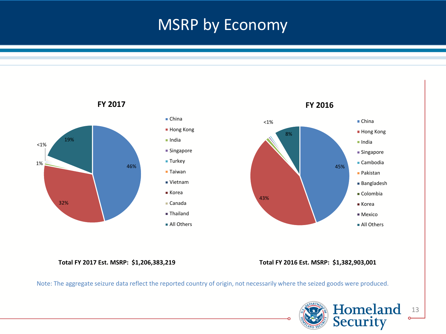### MSRP by Economy



**Total FY 2017 Est. MSRP: \$1,206,383,219 Total FY 2016 Est. MSRP: \$1,382,903,001** 

Note: The aggregate seizure data reflect the reported country of origin, not necessarily where the seized goods were produced.

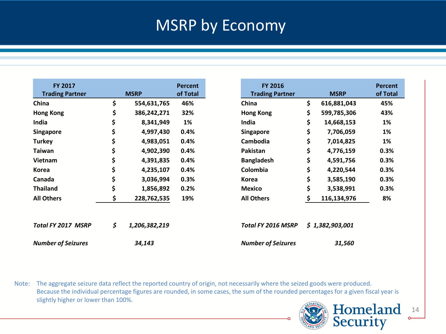### MSRP by Economy

| FY 2017<br><b>Trading Partner</b> | <b>MSRP</b>         | <b>Percent</b><br>of Total |
|-----------------------------------|---------------------|----------------------------|
| China                             | \$<br>554,631,765   | 46%                        |
| <b>Hong Kong</b>                  | \$<br>386,242,271   | 32%                        |
| India                             | \$<br>8,341,949     | 1%                         |
| <b>Singapore</b>                  | \$<br>4,997,430     | 0.4%                       |
| <b>Turkey</b>                     | \$<br>4,983,051     | 0.4%                       |
| <b>Taiwan</b>                     | \$<br>4,902,390     | 0.4%                       |
| <b>Vietnam</b>                    | \$<br>4,391,835     | 0.4%                       |
| Korea                             | \$<br>4,235,107     | 0.4%                       |
| Canada                            | \$<br>3,036,994     | 0.3%                       |
| <b>Thailand</b>                   | \$<br>1,856,892     | 0.2%                       |
| <b>All Others</b>                 | \$<br>228,762,535   | 19%                        |
| <b>Total FY 2017 MSRP</b>         | \$<br>1,206,382,219 |                            |
| <b>Number of Seizures</b>         | 34,143              |                            |

Note: The aggregate seizure data reflect the reported country of origin, not necessarily where the seized goods were produced. Because the individual percentage figures are rounded, in some cases, the sum of the rounded percentages for a given fiscal year is slightly higher or lower than 100%.

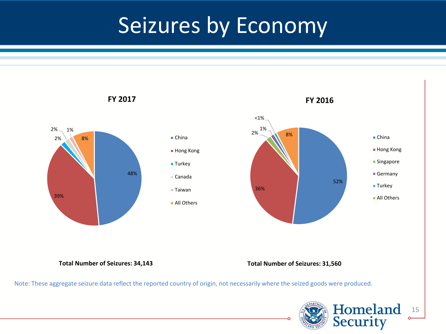## Seizures by Economy

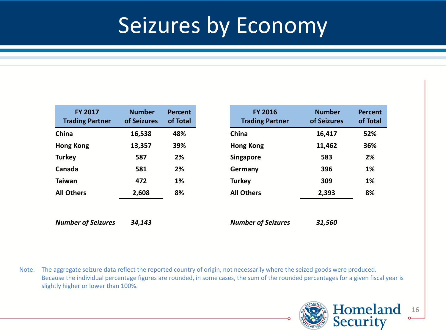### Seizures by Economy

| <b>FY 2017</b><br><b>Trading Partner</b> | <b>Number</b><br>of Seizures | <b>Percent</b><br>of Total |
|------------------------------------------|------------------------------|----------------------------|
| China                                    | 16,538                       | 48%                        |
| <b>Hong Kong</b>                         | 13,357                       | 39%                        |
| <b>Turkey</b>                            | 587                          | 2%                         |
| Canada                                   | 581                          | 2%                         |
| <b>Taiwan</b>                            | 472                          | 1%                         |
| <b>All Others</b>                        | 2,608                        | 8%                         |
|                                          |                              |                            |
| <b>Number of Seizures</b>                | 34,143                       |                            |

Note: The aggregate seizure data reflect the reported country of origin, not necessarily where the seized goods were produced. Because the individual percentage figures are rounded, in some cases, the sum of the rounded percentages for a given fiscal year is slightly higher or lower than 100%.

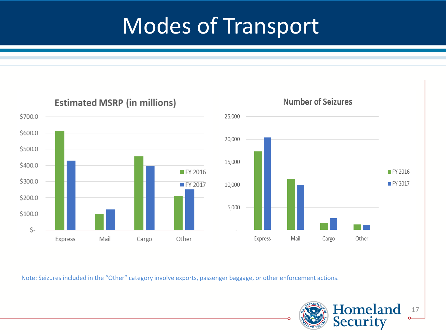# Modes of Transport





Note: Seizures included in the "Other" category involve exports, passenger baggage, or other enforcement actions.

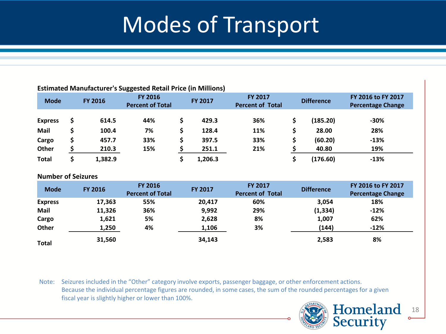## Modes of Transport

#### **Estimated Manufacturer's Suggested Retail Price (in Millions)**

| <b>Mode</b>    | <b>FY 2016</b> | FY 2016<br><b>Percent of Total</b> | <b>FY 2017</b> | <b>FY 2017</b><br><b>Percent of Total</b> | <b>Difference</b> | FY 2016 to FY 2017<br><b>Percentage Change</b> |
|----------------|----------------|------------------------------------|----------------|-------------------------------------------|-------------------|------------------------------------------------|
| <b>Express</b> | 614.5          | 44%                                | 429.3          | 36%                                       | (185.20)          | $-30%$                                         |
| Mail           | 100.4          | 7%                                 | 128.4          | 11%                                       | 28.00             | 28%                                            |
| Cargo          | 457.7          | 33%                                | 397.5          | 33%                                       | (60.20)           | $-13%$                                         |
| Other          | 210.3          | 15%                                | 251.1          | 21%                                       | 40.80             | 19%                                            |
| <b>Total</b>   | 1,382.9        |                                    | 1,206.3        |                                           | (176.60)          | $-13%$                                         |

#### **Number of Seizures**

| <b>Mode</b>    | <b>FY 2016</b> | FY 2016<br><b>Percent of Total</b> | <b>FY 2017</b> | <b>FY 2017</b><br><b>Percent of Total</b> | <b>Difference</b> | FY 2016 to FY 2017<br><b>Percentage Change</b> |
|----------------|----------------|------------------------------------|----------------|-------------------------------------------|-------------------|------------------------------------------------|
| <b>Express</b> | 17,363         | 55%                                | 20,417         | 60%                                       | 3,054             | 18%                                            |
| Mail           | 11,326         | 36%                                | 9,992          | 29%                                       | (1, 334)          | $-12%$                                         |
| Cargo          | 1,621          | 5%                                 | 2,628          | 8%                                        | 1,007             | 62%                                            |
| Other          | 1,250          | 4%                                 | 1,106          | 3%                                        | (144)             | $-12%$                                         |
| <b>Total</b>   | 31,560         |                                    | 34,143         |                                           | 2,583             | 8%                                             |

Note: Seizures included in the "Other" category involve exports, passenger baggage, or other enforcement actions. Because the individual percentage figures are rounded, in some cases, the sum of the rounded percentages for a given fiscal year is slightly higher or lower than 100%.

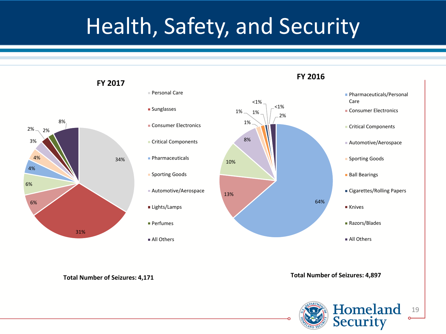# Health, Safety, and Security



**Total Number of Seizures: 4,171 Total Number of Seizures: 4,897**

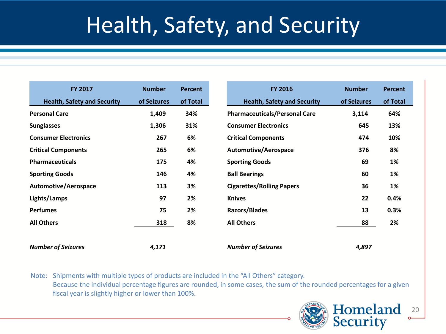# Health, Safety, and Security

| FY 2017                            | <b>Number</b> | <b>Percent</b> | <b>FY 2016</b>                       | <b>Number</b> | <b>Percent</b> |
|------------------------------------|---------------|----------------|--------------------------------------|---------------|----------------|
| <b>Health, Safety and Security</b> | of Seizures   | of Total       | <b>Health, Safety and Security</b>   | of Seizures   | of Total       |
| <b>Personal Care</b>               | 1,409         | 34%            | <b>Pharmaceuticals/Personal Care</b> | 3,114         | 64%            |
| <b>Sunglasses</b>                  | 1,306         | 31%            | <b>Consumer Electronics</b>          | 645           | 13%            |
| <b>Consumer Electronics</b>        | 267           | 6%             | <b>Critical Components</b>           | 474           | 10%            |
| <b>Critical Components</b>         | 265           | 6%             | Automotive/Aerospace                 | 376           | 8%             |
| <b>Pharmaceuticals</b>             | 175           | 4%             | <b>Sporting Goods</b>                | 69            | 1%             |
| <b>Sporting Goods</b>              | 146           | 4%             | <b>Ball Bearings</b>                 | 60            | 1%             |
| <b>Automotive/Aerospace</b>        | 113           | 3%             | <b>Cigarettes/Rolling Papers</b>     | 36            | 1%             |
| Lights/Lamps                       | 97            | 2%             | <b>Knives</b>                        | 22            | 0.4%           |
| <b>Perfumes</b>                    | 75            | 2%             | <b>Razors/Blades</b>                 | 13            | 0.3%           |
| <b>All Others</b>                  | 318           | 8%             | <b>All Others</b>                    | 88            | 2%             |
|                                    |               |                |                                      |               |                |
| <b>Number of Seizures</b>          | 4,171         |                | <b>Number of Seizures</b>            | 4,897         |                |

Note: Shipments with multiple types of products are included in the "All Others" category. Because the individual percentage figures are rounded, in some cases, the sum of the rounded percentages for a given fiscal year is slightly higher or lower than 100%.

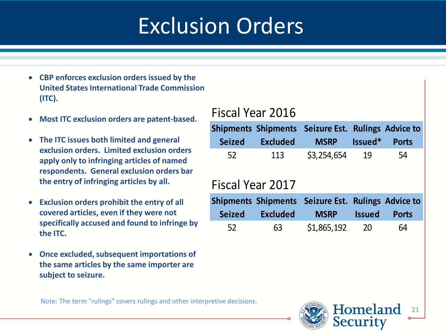# Exclusion Orders

- **CBP enforces exclusion orders issued by the United States International Trade Commission (ITC).**
- **Most ITC exclusion orders are patent-based.**
- **The ITC issues both limited and general exclusion orders. Limited exclusion orders apply only to infringing articles of named respondents. General exclusion orders bar the entry of infringing articles by all.**
- **Exclusion orders prohibit the entry of all covered articles, even if they were not specifically accused and found to infringe by the ITC.**
- **Once excluded, subsequent importations of the same articles by the same importer are subject to seizure.**

### Fiscal Year 2016

|                  |                 | Shipments Shipments Seizure Est. Rulings Advice to |               |              |
|------------------|-----------------|----------------------------------------------------|---------------|--------------|
| <b>Seized</b>    | <b>Excluded</b> | <b>MSRP</b>                                        | Issued*       | <b>Ports</b> |
| 52               | 113             | \$3,254,654                                        | - 19          | 54           |
| Fiscal Year 2017 |                 |                                                    |               |              |
|                  |                 | Shipments Shipments Seizure Est. Rulings Advice to |               |              |
| <b>Seized</b>    | <b>Excluded</b> | <b>MSRP</b>                                        | <b>Issued</b> | <b>Ports</b> |
| 52               | 63              | \$1,865,192                                        | 20            | 64           |

Note: The term "rulings" covers rulings and other interpretive decisions.